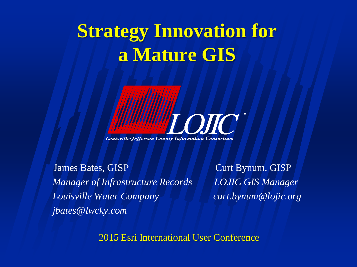### **Strategy Innovation for a Mature GIS**

OTO **Louisville/Jefferson County Information Consortium** 

James Bates, GISP Curt Bynum, GISP *Manager of Infrastructure Records LOJIC GIS Manager Louisville Water Company curt.bynum@lojic.org jbates@lwcky.com*

2015 Esri International User Conference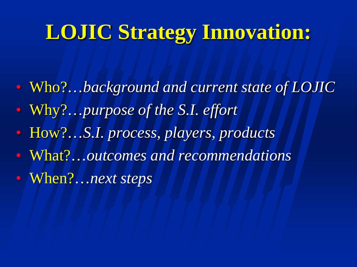## **LOJIC Strategy Innovation:**

- Who?…*background and current state of LOJIC*
- Why?…*purpose of the S.I. effort*
- How?…*S.I. process, players, products*
- What?…*outcomes and recommendations*
- When?…*next steps*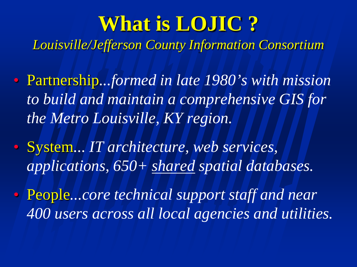## **What is LOJIC ?**

*Louisville/Jefferson County Information Consortium*

- Partnership*...formed in late 1980's with mission to build and maintain a comprehensive GIS for the Metro Louisville, KY region.*
- System*... IT architecture, web services, applications, 650+ shared spatial databases.*
- People*...core technical support staff and near 400 users across all local agencies and utilities.*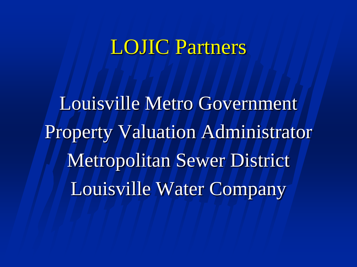#### LOJIC Partners

Louisville Metro Government Property Valuation Administrator Metropolitan Sewer District Louisville Water Company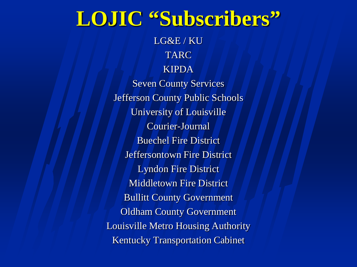### **LOJIC "Subscribers"**

LG&E / KU TARC KIPDA Seven County Services Jefferson County Public Schools University of Louisville Courier-Journal Buechel Fire District Jeffersontown Fire District Lyndon Fire District Middletown Fire District Bullitt County Government Oldham County Government Louisville Metro Housing Authority Kentucky Transportation Cabinet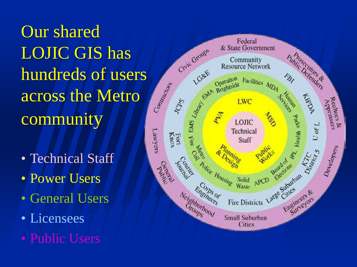Our shared LOJIC GIS has hundreds of users across the Metro community

- Technical Staff
- Power Users
- General Users
- Licensees
- Public Users

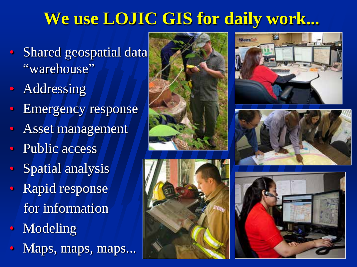#### **We use LOJIC GIS for daily work...**

- Shared geospatial data "warehouse"
- Addressing
- Emergency response
- Asset management
- Public access
- Spatial analysis
- Rapid response for information
- Modeling
- Maps, maps, maps...









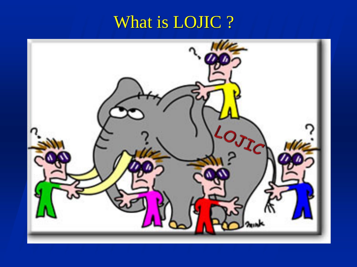### What is LOJIC ?

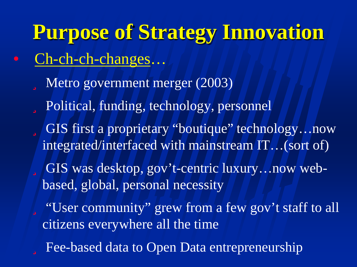**Purpose of Strategy Innovation** • Ch-ch-ch-changes… ü Metro government merger (2003) ü Political, funding, technology, personnel ü GIS first a proprietary "boutique" technology…now integrated/interfaced with mainstream IT…(sort of) ü GIS was desktop, gov't-centric luxury…now webbased, global, personal necessity ü "User community" grew from a few gov't staff to all citizens everywhere all the time **ü** Fee-based data to Open Data entrepreneurship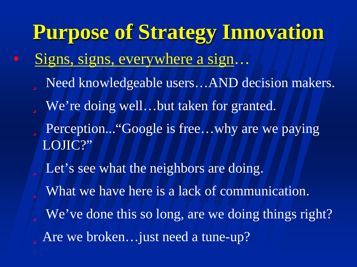**Purpose of Strategy Innovation** • Signs, signs, everywhere a sign… ü Need knowledgeable users…AND decision makers. ü We're doing well…but taken for granted. ü Perception..."Google is free…why are we paying LOJIC?" ü Let's see what the neighbors are doing. ü What we have here is a lack of communication. ü We've done this so long, are we doing things right? üAre we broken…just need a tune-up?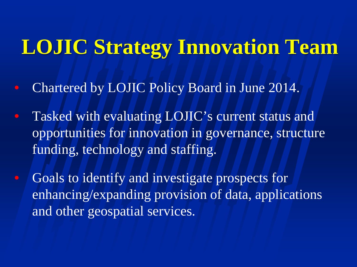### **LOJIC Strategy Innovation Team**

- Chartered by LOJIC Policy Board in June 2014.
- Tasked with evaluating LOJIC's current status and opportunities for innovation in governance, structure funding, technology and staffing.
- Goals to identify and investigate prospects for enhancing/expanding provision of data, applications and other geospatial services.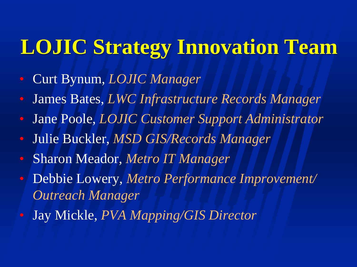## **LOJIC Strategy Innovation Team**

- Curt Bynum, *LOJIC Manager*
- James Bates, *LWC Infrastructure Records Manager*
- Jane Poole, *LOJIC Customer Support Administrator*
- Julie Buckler, *MSD GIS/Records Manager*
- Sharon Meador, *Metro IT Manager*
- Debbie Lowery, *Metro Performance Improvement/ Outreach Manager*
- Jay Mickle, *PVA Mapping/GIS Director*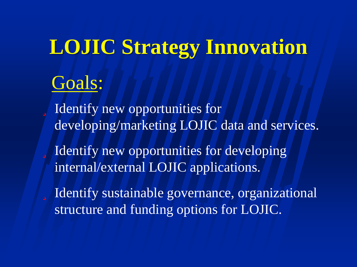# **LOJIC Strategy Innovation**

### Goals:

ü Identify new opportunities for developing/marketing LOJIC data and services.

ü Identify new opportunities for developing internal/external LOJIC applications.

ü Identify sustainable governance, organizational structure and funding options for LOJIC.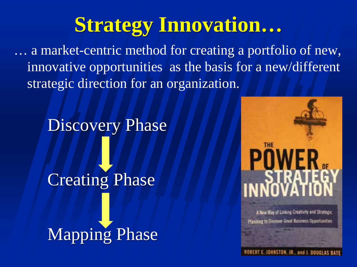## **Strategy Innovation…**

… a market-centric method for creating a portfolio of new, innovative opportunities as the basis for a new/different strategic direction for an organization.

Discovery Phase Creating Phase Mapping Phase



A New Way of Linking Creativity and Strategic **Planning to Discover Great Business Opportunities**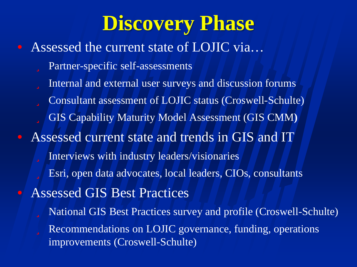## **Discovery Phase**

• Assessed the current state of LOJIC via... ü Partner-specific self-assessments ü Internal and external user surveys and discussion forums ü Consultant assessment of LOJIC status (Croswell-Schulte) ü GIS Capability Maturity Model Assessment (GIS CMM**)** • Assessed current state and trends in GIS and IT ü Interviews with industry leaders/visionaries ü Esri, open data advocates, local leaders, CIOs, consultants • Assessed GIS Best Practices ü National GIS Best Practices survey and profile (Croswell-Schulte) ü Recommendations on LOJIC governance, funding, operations improvements (Croswell-Schulte)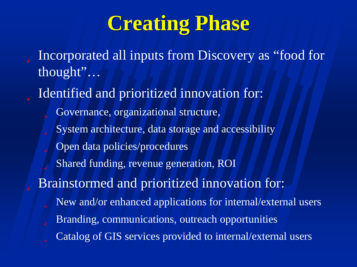## **Creating Phase**

ü Incorporated all inputs from Discovery as "food for thought"…

ü Identified and prioritized innovation for:

ü Governance, organizational structure,

- ü System architecture, data storage and accessibility
- ü Open data policies/procedures
- ü Shared funding, revenue generation, ROI

ü Brainstormed and prioritized innovation for:

- ü New and/or enhanced applications for internal/external users
- ü Branding, communications, outreach opportunities
- ü Catalog of GIS services provided to internal/external users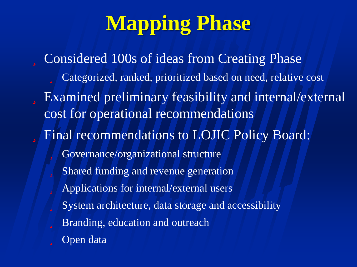# **Mapping Phase**

ü Considered 100s of ideas from Creating Phase ü Categorized, ranked, prioritized based on need, relative cost ü Examined preliminary feasibility and internal/external cost for operational recommendations ü Final recommendations to LOJIC Policy Board: ü Governance/organizational structure ü Shared funding and revenue generation ü Applications for internal/external users ü System architecture, data storage and accessibility ü Branding, education and outreach **ü** Open data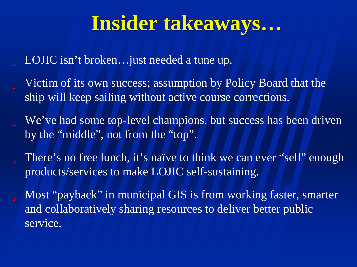### **Insider takeaways…**

ü LOJIC isn't broken…just needed a tune up.

- ü Victim of its own success; assumption by Policy Board that the ship will keep sailing without active course corrections.
- ü We've had some top-level champions, but success has been driven by the "middle", not from the "top".
- ü There's no free lunch, it's naïve to think we can ever "sell" enough products/services to make LOJIC self-sustaining.
- ü Most "payback" in municipal GIS is from working faster, smarter and collaboratively sharing resources to deliver better public service.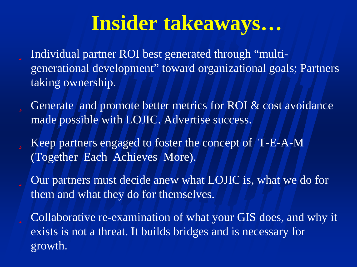## **Insider takeaways…**

- ü Individual partner ROI best generated through "multigenerational development" toward organizational goals; Partners taking ownership.
- $\ddot{\mathbf{u}}$  Generate and promote better metrics for ROI  $\&$  cost avoidance made possible with LOJIC. Advertise success.
- ü Keep partners engaged to foster the concept of T-E-A-M (Together Each Achieves More).
- ü Our partners must decide anew what LOJIC is, what we do for them and what they do for themselves.
- ü Collaborative re-examination of what your GIS does, and why it exists is not a threat. It builds bridges and is necessary for growth.